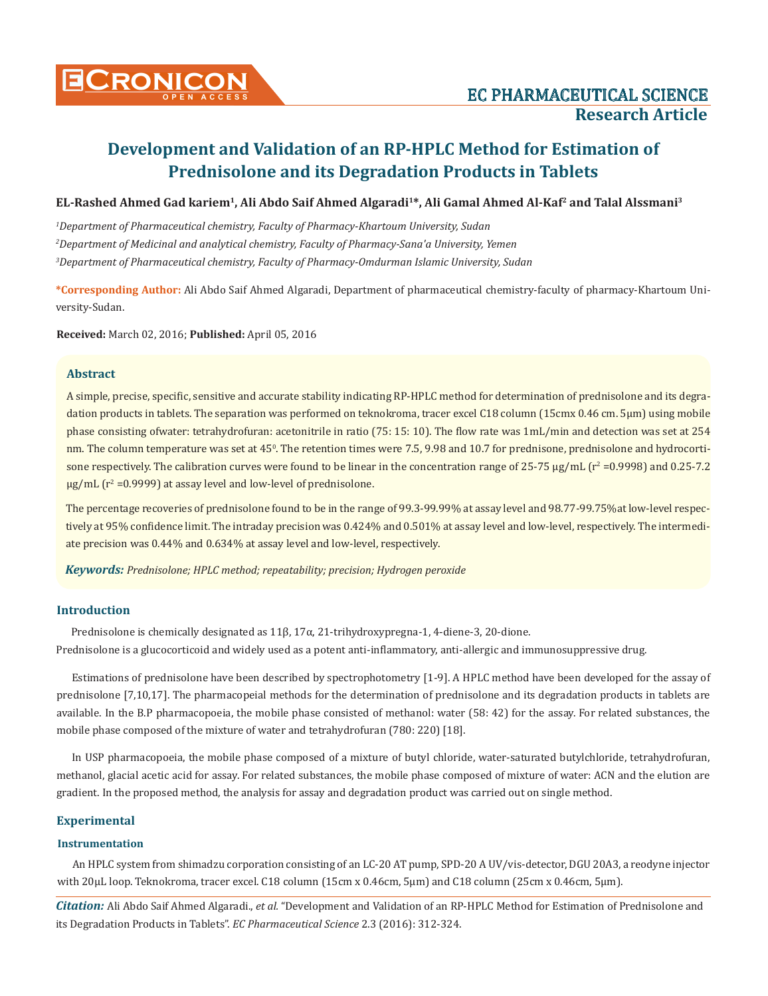

**EL-Rashed Ahmed Gad kariem1, Ali Abdo Saif Ahmed Algaradi1\*, Ali Gamal Ahmed Al-Kaf2 and Talal Alssmani3**

*1 Department of Pharmaceutical chemistry, Faculty of Pharmacy-Khartoum University, Sudan 2 Department of Medicinal and analytical chemistry, Faculty of Pharmacy-Sana'a University, Yemen 3 Department of Pharmaceutical chemistry, Faculty of Pharmacy-Omdurman Islamic University, Sudan*

**\*Corresponding Author:** Ali Abdo Saif Ahmed Algaradi, Department of pharmaceutical chemistry-faculty of pharmacy-Khartoum University-Sudan.

**Received:** March 02, 2016; **Published:** April 05, 2016

## **Abstract**

A simple, precise, specific, sensitive and accurate stability indicating RP-HPLC method for determination of prednisolone and its degradation products in tablets. The separation was performed on teknokroma, tracer excel C18 column (15cmx 0.46 cm. 5μm) using mobile phase consisting ofwater: tetrahydrofuran: acetonitrile in ratio (75: 15: 10). The flow rate was 1mL/min and detection was set at 254 nm. The column temperature was set at 45<sup>0</sup>. The retention times were 7.5, 9.98 and 10.7 for prednisone, prednisolone and hydrocortisone respectively. The calibration curves were found to be linear in the concentration range of  $25\text{-}75$   $\mu$ g/mL ( $r^2$  =0.9998) and 0.25-7.2  $\mu$ g/mL (r<sup>2</sup> =0.9999) at assay level and low-level of prednisolone.

The percentage recoveries of prednisolone found to be in the range of 99.3-99.99% at assay level and 98.77-99.75%at low-level respectively at 95% confidence limit. The intraday precision was 0.424% and 0.501% at assay level and low-level, respectively. The intermediate precision was 0.44% and 0.634% at assay level and low-level, respectively.

*Keywords: Prednisolone; HPLC method; repeatability; precision; Hydrogen peroxide*

# **Introduction**

Prednisolone is chemically designated as 11β, 17α, 21-trihydroxypregna-1, 4-diene-3, 20-dione. Prednisolone is a glucocorticoid and widely used as a potent anti-inflammatory, anti-allergic and immunosuppressive drug.

Estimations of prednisolone have been described by spectrophotometry [1-9]. A HPLC method have been developed for the assay of prednisolone [7,10,17]. The pharmacopeial methods for the determination of prednisolone and its degradation products in tablets are available. In the B.P pharmacopoeia, the mobile phase consisted of methanol: water (58: 42) for the assay. For related substances, the mobile phase composed of the mixture of water and tetrahydrofuran (780: 220) [18].

In USP pharmacopoeia, the mobile phase composed of a mixture of butyl chloride, water-saturated butylchloride, tetrahydrofuran, methanol, glacial acetic acid for assay. For related substances, the mobile phase composed of mixture of water: ACN and the elution are gradient. In the proposed method, the analysis for assay and degradation product was carried out on single method.

# **Experimental**

## **Instrumentation**

An HPLC system from shimadzu corporation consisting of an LC-20 AT pump, SPD-20 A UV/vis-detector, DGU 20A3, a reodyne injector with 20μL loop. Teknokroma, tracer excel. C18 column (15cm x 0.46cm, 5μm) and C18 column (25cm x 0.46cm, 5μm).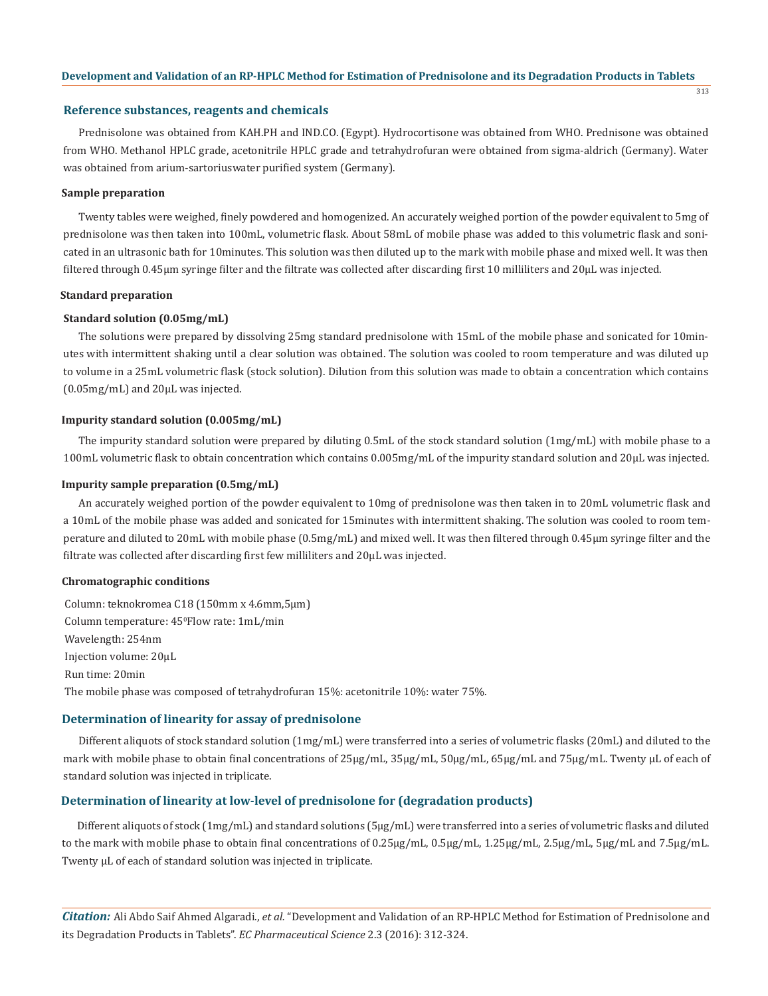313

#### **Reference substances, reagents and chemicals**

Prednisolone was obtained from KAH.PH and IND.CO. (Egypt). Hydrocortisone was obtained from WHO. Prednisone was obtained from WHO. Methanol HPLC grade, acetonitrile HPLC grade and tetrahydrofuran were obtained from sigma-aldrich (Germany). Water was obtained from arium-sartoriuswater purified system (Germany).

#### **Sample preparation**

Twenty tables were weighed, finely powdered and homogenized. An accurately weighed portion of the powder equivalent to 5mg of prednisolone was then taken into 100mL, volumetric flask. About 58mL of mobile phase was added to this volumetric flask and sonicated in an ultrasonic bath for 10minutes. This solution was then diluted up to the mark with mobile phase and mixed well. It was then filtered through 0.45µm syringe filter and the filtrate was collected after discarding first 10 milliliters and 20µL was injected.

# **Standard preparation**

# **Standard solution (0.05mg/mL)**

The solutions were prepared by dissolving 25mg standard prednisolone with 15mL of the mobile phase and sonicated for 10minutes with intermittent shaking until a clear solution was obtained. The solution was cooled to room temperature and was diluted up to volume in a 25mL volumetric flask (stock solution). Dilution from this solution was made to obtain a concentration which contains (0.05mg/mL) and 20µL was injected.

## **Impurity standard solution (0.005mg/mL)**

The impurity standard solution were prepared by diluting 0.5mL of the stock standard solution (1mg/mL) with mobile phase to a 100mL volumetric flask to obtain concentration which contains 0.005mg/mL of the impurity standard solution and 20µL was injected.

# **Impurity sample preparation (0.5mg/mL)**

An accurately weighed portion of the powder equivalent to 10mg of prednisolone was then taken in to 20mL volumetric flask and a 10mL of the mobile phase was added and sonicated for 15minutes with intermittent shaking. The solution was cooled to room temperature and diluted to 20mL with mobile phase (0.5mg/mL) and mixed well. It was then filtered through 0.45µm syringe filter and the filtrate was collected after discarding first few milliliters and 20µL was injected.

# **Chromatographic conditions**

Column: teknokromea C18 (150mm x 4.6mm,5μm) Column temperature: 45ºFlow rate: 1mL/min Wavelength: 254nm Injection volume: 20μL Run time: 20min The mobile phase was composed of tetrahydrofuran 15%: acetonitrile 10%: water 75%.

# **Determination of linearity for assay of prednisolone**

Different aliquots of stock standard solution (1mg/mL) were transferred into a series of volumetric flasks (20mL) and diluted to the mark with mobile phase to obtain final concentrations of 25µg/mL, 35µg/mL, 50µg/mL, 65µg/mL and 75µg/mL. Twenty µL of each of standard solution was injected in triplicate.

# **Determination of linearity at low-level of prednisolone for (degradation products)**

Different aliquots of stock (1mg/mL) and standard solutions (5µg/mL) were transferred into a series of volumetric flasks and diluted to the mark with mobile phase to obtain final concentrations of 0.25µg/mL, 0.5µg/mL, 1.25µg/mL, 2.5µg/mL, 5µg/mL and 7.5µg/mL. Twenty µL of each of standard solution was injected in triplicate.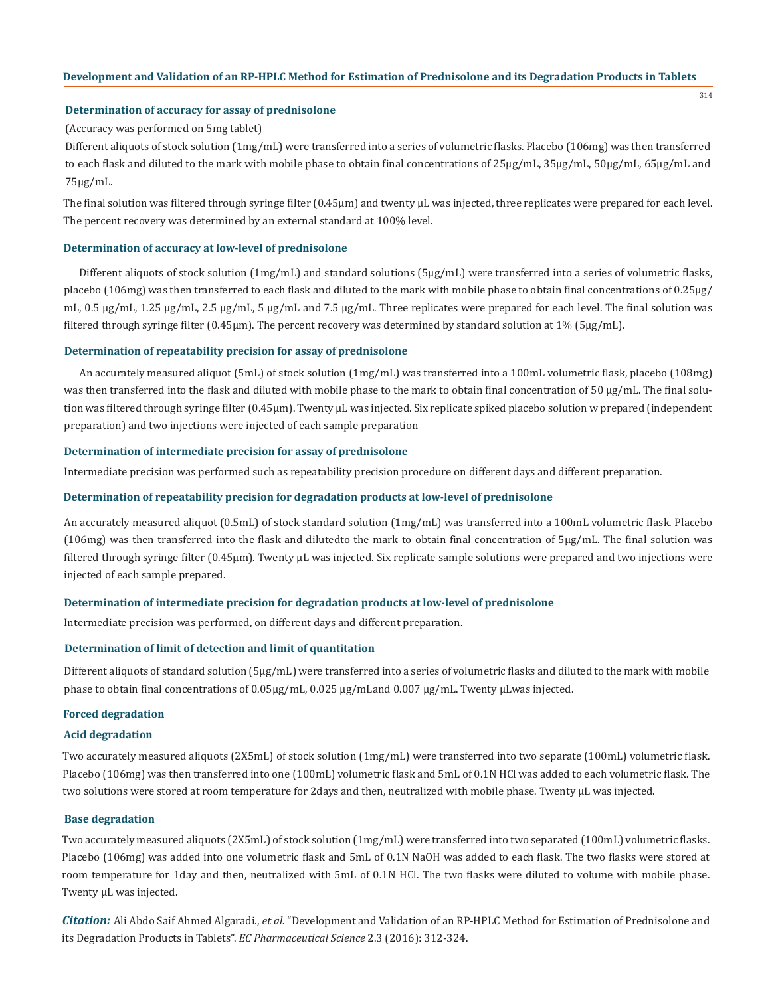314

# **Determination of accuracy for assay of prednisolone**

#### (Accuracy was performed on 5mg tablet)

Different aliquots of stock solution (1mg/mL) were transferred into a series of volumetric flasks. Placebo (106mg) was then transferred to each flask and diluted to the mark with mobile phase to obtain final concentrations of 25µg/mL, 35µg/mL, 50µg/mL, 65µg/mL and 75µg/mL.

The final solution was filtered through syringe filter  $(0.45 \mu m)$  and twenty  $\mu$ L was injected, three replicates were prepared for each level. The percent recovery was determined by an external standard at 100% level.

#### **Determination of accuracy at low-level of prednisolone**

Different aliquots of stock solution (1mg/mL) and standard solutions (5µg/mL) were transferred into a series of volumetric flasks, placebo (106mg) was then transferred to each flask and diluted to the mark with mobile phase to obtain final concentrations of 0.25µg/ mL, 0.5 µg/mL, 1.25 µg/mL, 2.5 µg/mL, 5 µg/mL and 7.5 µg/mL. Three replicates were prepared for each level. The final solution was filtered through syringe filter (0.45µm). The percent recovery was determined by standard solution at 1% (5µg/mL).

#### **Determination of repeatability precision for assay of prednisolone**

An accurately measured aliquot (5mL) of stock solution (1mg/mL) was transferred into a 100mL volumetric flask, placebo (108mg) was then transferred into the flask and diluted with mobile phase to the mark to obtain final concentration of 50 µg/mL. The final solution was filtered through syringe filter (0.45µm). Twenty µL was injected. Six replicate spiked placebo solution w prepared (independent preparation) and two injections were injected of each sample preparation

#### **Determination of intermediate precision for assay of prednisolone**

Intermediate precision was performed such as repeatability precision procedure on different days and different preparation.

# **Determination of repeatability precision for degradation products at low-level of prednisolone**

An accurately measured aliquot (0.5mL) of stock standard solution (1mg/mL) was transferred into a 100mL volumetric flask. Placebo (106mg) was then transferred into the flask and dilutedto the mark to obtain final concentration of 5µg/mL. The final solution was filtered through syringe filter (0.45µm). Twenty µL was injected. Six replicate sample solutions were prepared and two injections were injected of each sample prepared.

#### **Determination of intermediate precision for degradation products at low-level of prednisolone**

Intermediate precision was performed, on different days and different preparation.

#### **Determination of limit of detection and limit of quantitation**

Different aliquots of standard solution (5µg/mL) were transferred into a series of volumetric flasks and diluted to the mark with mobile phase to obtain final concentrations of 0.05µg/mL, 0.025 µg/mLand 0.007 µg/mL. Twenty µLwas injected.

# **Forced degradation**

# **Acid degradation**

Two accurately measured aliquots (2X5mL) of stock solution (1mg/mL) were transferred into two separate (100mL) volumetric flask. Placebo (106mg) was then transferred into one (100mL) volumetric flask and 5mL of 0.1N HCl was added to each volumetric flask. The two solutions were stored at room temperature for 2days and then, neutralized with mobile phase. Twenty μL was injected.

# **Base degradation**

Two accurately measured aliquots (2X5mL) of stock solution (1mg/mL) were transferred into two separated (100mL) volumetric flasks. Placebo (106mg) was added into one volumetric flask and 5mL of 0.1N NaOH was added to each flask. The two flasks were stored at room temperature for 1day and then, neutralized with 5mL of 0.1N HCl. The two flasks were diluted to volume with mobile phase. Twenty μL was injected.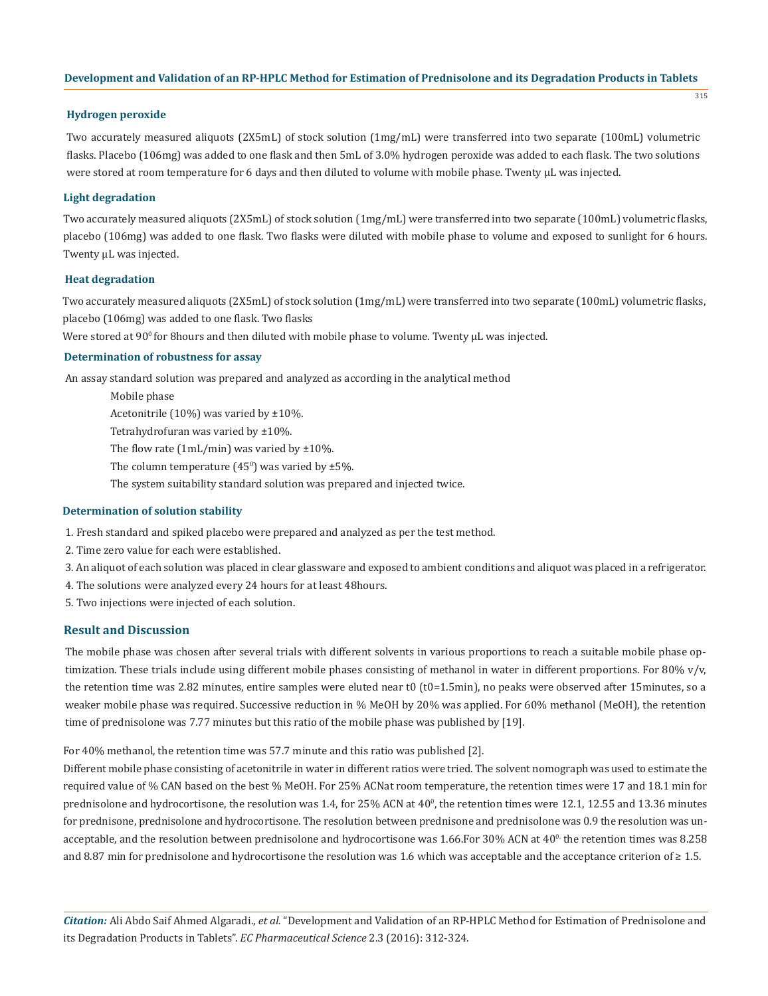315

## **Hydrogen peroxide**

Two accurately measured aliquots (2X5mL) of stock solution (1mg/mL) were transferred into two separate (100mL) volumetric flasks. Placebo (106mg) was added to one flask and then 5mL of 3.0% hydrogen peroxide was added to each flask. The two solutions were stored at room temperature for 6 days and then diluted to volume with mobile phase. Twenty μL was injected.

# **Light degradation**

Two accurately measured aliquots (2X5mL) of stock solution (1mg/mL) were transferred into two separate (100mL) volumetric flasks, placebo (106mg) was added to one flask. Two flasks were diluted with mobile phase to volume and exposed to sunlight for 6 hours. Twenty μL was injected.

## **Heat degradation**

Two accurately measured aliquots (2X5mL) of stock solution (1mg/mL) were transferred into two separate (100mL) volumetric flasks, placebo (106mg) was added to one flask. Two flasks

Were stored at 90<sup>0</sup> for 8hours and then diluted with mobile phase to volume. Twenty μL was injected.

## **Determination of robustness for assay**

An assay standard solution was prepared and analyzed as according in the analytical method

Mobile phase Acetonitrile (10%) was varied by ±10%. Tetrahydrofuran was varied by ±10%. The flow rate (1mL/min) was varied by  $\pm 10\%$ . The column temperature  $(45^{\circ})$  was varied by ±5%. The system suitability standard solution was prepared and injected twice.

#### **Determination of solution stability**

- 1. Fresh standard and spiked placebo were prepared and analyzed as per the test method.
- 2. Time zero value for each were established.
- 3. An aliquot of each solution was placed in clear glassware and exposed to ambient conditions and aliquot was placed in a refrigerator.
- 4. The solutions were analyzed every 24 hours for at least 48hours.
- 5. Two injections were injected of each solution.

# **Result and Discussion**

The mobile phase was chosen after several trials with different solvents in various proportions to reach a suitable mobile phase optimization. These trials include using different mobile phases consisting of methanol in water in different proportions. For 80% v/v, the retention time was 2.82 minutes, entire samples were eluted near t0 (t0=1.5min), no peaks were observed after 15minutes, so a weaker mobile phase was required. Successive reduction in % MeOH by 20% was applied. For 60% methanol (MeOH), the retention time of prednisolone was 7.77 minutes but this ratio of the mobile phase was published by [19].

For 40% methanol, the retention time was 57.7 minute and this ratio was published [2].

Different mobile phase consisting of acetonitrile in water in different ratios were tried. The solvent nomograph was used to estimate the required value of % CAN based on the best % MeOH. For 25% ACNat room temperature, the retention times were 17 and 18.1 min for prednisolone and hydrocortisone, the resolution was  $1.4$ , for  $25\%$  ACN at  $40^\circ$ , the retention times were  $12.1$ ,  $12.55$  and  $13.36$  minutes for prednisone, prednisolone and hydrocortisone. The resolution between prednisone and prednisolone was 0.9 the resolution was unacceptable, and the resolution between prednisolone and hydrocortisone was 1.66.For 30% ACN at 40<sup>0,</sup> the retention times was 8.258 and 8.87 min for prednisolone and hydrocortisone the resolution was 1.6 which was acceptable and the acceptance criterion of  $\geq 1.5$ .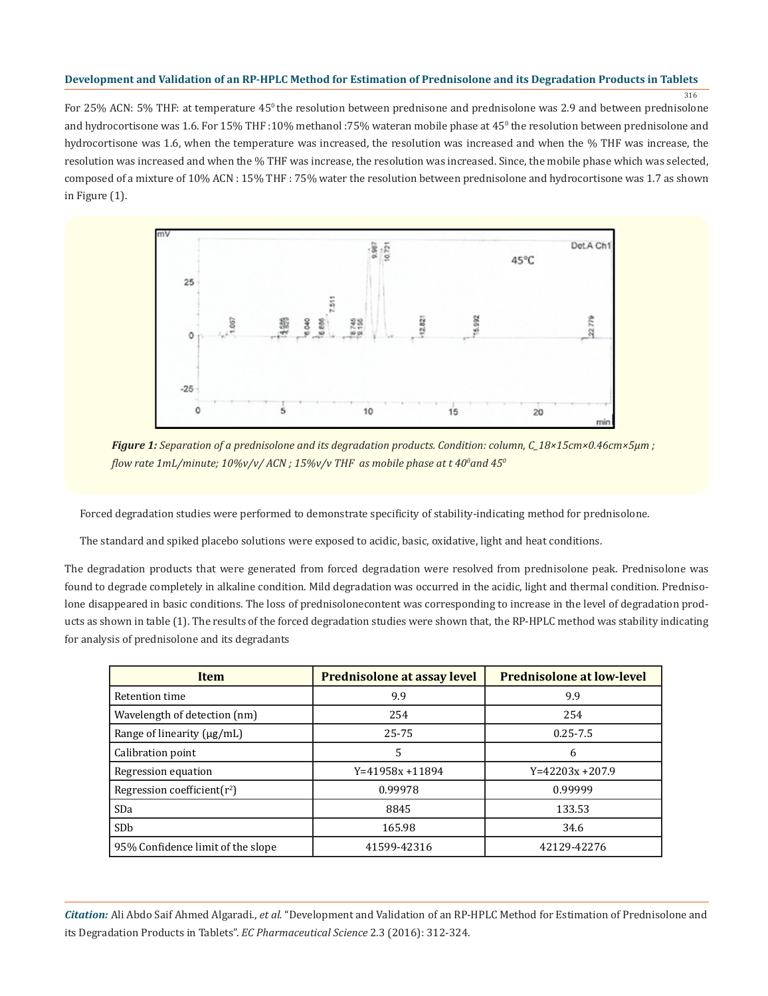316

For 25% ACN: 5% THF: at temperature 45<sup>°</sup> the resolution between prednisone and prednisolone was 2.9 and between prednisolone and hydrocortisone was 1.6. For 15% THF :10% methanol :75% wateran mobile phase at 450 the resolution between prednisolone and hydrocortisone was 1.6, when the temperature was increased, the resolution was increased and when the % THF was increase, the resolution was increased and when the % THF was increase, the resolution was increased. Since, the mobile phase which was selected, composed of a mixture of 10% ACN : 15% THF : 75% water the resolution between prednisolone and hydrocortisone was 1.7 as shown in Figure (1).



*Figure 1: Separation of a prednisolone and its degradation products. Condition: column, C\_18×15cm×0.46cm×5μm ; flow rate 1mL/minute; 10%v/v/ ACN ; 15%v/v THF as mobile phase at t 40<sup>0</sup> and 450*

Forced degradation studies were performed to demonstrate specificity of stability-indicating method for prednisolone.

The standard and spiked placebo solutions were exposed to acidic, basic, oxidative, light and heat conditions.

The degradation products that were generated from forced degradation were resolved from prednisolone peak. Prednisolone was found to degrade completely in alkaline condition. Mild degradation was occurred in the acidic, light and thermal condition. Prednisolone disappeared in basic conditions. The loss of prednisolonecontent was corresponding to increase in the level of degradation products as shown in table (1). The results of the forced degradation studies were shown that, the RP-HPLC method was stability indicating for analysis of prednisolone and its degradants

| <b>Item</b>                       | Prednisolone at assay level | <b>Prednisolone at low-level</b> |
|-----------------------------------|-----------------------------|----------------------------------|
| Retention time                    | 9.9                         | 9.9                              |
| Wavelength of detection (nm)      | 254                         | 254                              |
| Range of linearity (µg/mL)        | 25-75                       | $0.25 - 7.5$                     |
| Calibration point                 | 5                           | 6                                |
| Regression equation               | $Y=41958x + 11894$          | $Y=42203x+207.9$                 |
| Regression coefficient $(r^2)$    | 0.99978                     | 0.99999                          |
| <b>SDa</b>                        | 8845                        | 133.53                           |
| SD <sub>b</sub>                   | 165.98                      | 34.6                             |
| 95% Confidence limit of the slope | 41599-42316                 | 42129-42276                      |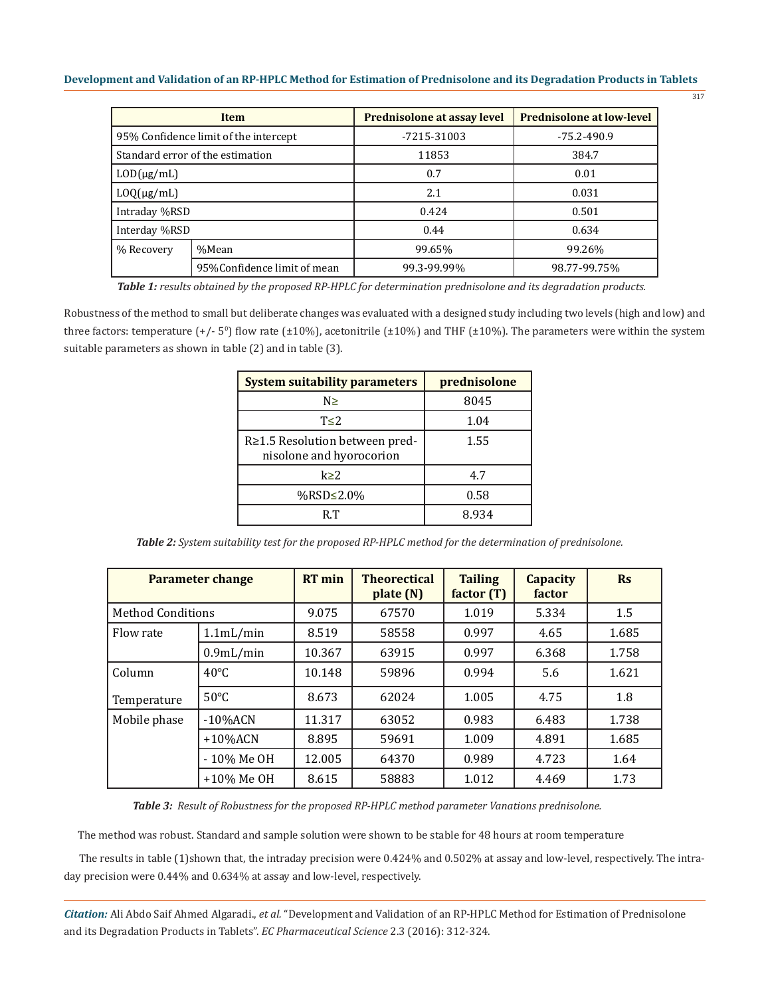| ۰.<br>×<br>×<br>×<br>۰. |
|-------------------------|
|-------------------------|

|                                       | <b>Item</b>                      | Prednisolone at assay level | <b>Prednisolone at low-level</b> |  |
|---------------------------------------|----------------------------------|-----------------------------|----------------------------------|--|
| 95% Confidence limit of the intercept |                                  | $-7215-31003$               | $-75.2 - 490.9$                  |  |
|                                       | Standard error of the estimation | 11853                       | 384.7                            |  |
| $LOD(\mu g/mL)$                       |                                  | 0.7                         | 0.01                             |  |
| $L O(Q(\mu g/mL)$                     |                                  | 2.1                         | 0.031                            |  |
| Intraday %RSD                         |                                  | 0.424                       | 0.501                            |  |
| Interday %RSD                         |                                  | 0.44                        | 0.634                            |  |
| % Recovery                            | %Mean                            | 99.65%                      | 99.26%                           |  |
|                                       | 95% Confidence limit of mean     | 99.3-99.99%                 | 98.77-99.75%                     |  |

*Table 1: results obtained by the proposed RP-HPLC for determination prednisolone and its degradation products.*

Robustness of the method to small but deliberate changes was evaluated with a designed study including two levels (high and low) and three factors: temperature  $(+/- 5^{\circ})$  flow rate  $(\pm 10\%)$ , acetonitrile  $(\pm 10\%)$  and THF  $(\pm 10\%)$ . The parameters were within the system suitable parameters as shown in table (2) and in table (3).

| <b>System suitability parameters</b>                       | prednisolone |
|------------------------------------------------------------|--------------|
| N≥                                                         | 8045         |
| $T\leq 2$                                                  | 1.04         |
| R≥1.5 Resolution between pred-<br>nisolone and hyorocorion | 1.55         |
| k > 2                                                      | 4.7          |
| %RSD≤2.0%                                                  | 0.58         |
| RТ                                                         | 8.934        |

*Table 2: System suitability test for the proposed RP-HPLC method for the determination of prednisolone.*

| <b>Parameter change</b>  |                | <b>RT</b> min | <b>Theorectical</b><br>plate(N) | <b>Tailing</b><br>factor (T) | <b>Capacity</b><br>factor | $\mathbf{R}$ s |
|--------------------------|----------------|---------------|---------------------------------|------------------------------|---------------------------|----------------|
| <b>Method Conditions</b> |                | 9.075         | 67570                           | 1.019                        | 5.334                     | 1.5            |
| Flow rate                | 1.1mL/min      | 8.519         | 58558                           | 0.997                        | 4.65                      | 1.685          |
|                          | $0.9$ mL/min   | 10.367        | 63915                           | 0.997                        | 6.368                     | 1.758          |
| Column                   | $40^{\circ}$ C | 10.148        | 59896                           | 0.994                        | 5.6                       | 1.621          |
| Temperature              | $50^{\circ}$ C | 8.673         | 62024                           | 1.005                        | 4.75                      | 1.8            |
| Mobile phase             | $-10\%$ ACN    | 11.317        | 63052                           | 0.983                        | 6.483                     | 1.738          |
|                          | $+10\%$ ACN    | 8.895         | 59691                           | 1.009                        | 4.891                     | 1.685          |
|                          | - 10% Me OH    | 12.005        | 64370                           | 0.989                        | 4.723                     | 1.64           |
|                          | +10% Me OH     | 8.615         | 58883                           | 1.012                        | 4.469                     | 1.73           |

*Table 3: Result of Robustness for the proposed RP-HPLC method parameter Vanations prednisolone.*

The method was robust. Standard and sample solution were shown to be stable for 48 hours at room temperature

The results in table (1)shown that, the intraday precision were 0.424% and 0.502% at assay and low-level, respectively. The intraday precision were 0.44% and 0.634% at assay and low-level, respectively.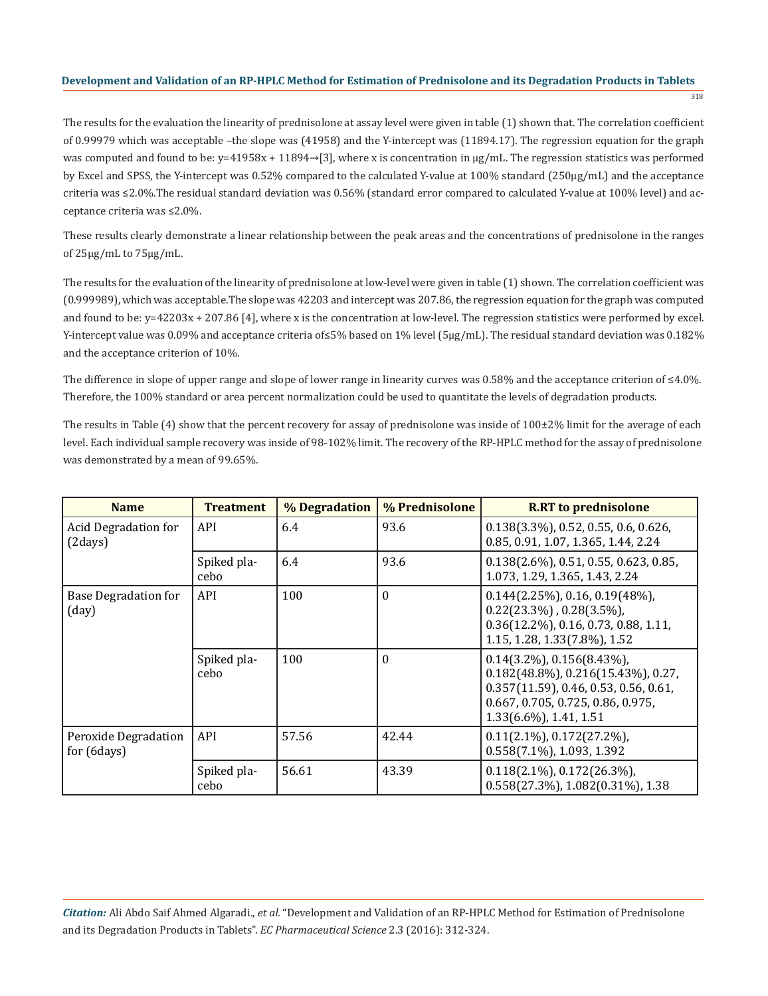318

The results for the evaluation the linearity of prednisolone at assay level were given in table (1) shown that. The correlation coefficient of 0.99979 which was acceptable –the slope was (41958) and the Y-intercept was (11894.17). The regression equation for the graph was computed and found to be: y=41958x + 11894→[3], where x is concentration in μg/mL. The regression statistics was performed by Excel and SPSS, the Y-intercept was 0.52% compared to the calculated Y-value at 100% standard (250μg/mL) and the acceptance criteria was ≤2.0%.The residual standard deviation was 0.56% (standard error compared to calculated Y-value at 100% level) and acceptance criteria was ≤2.0%.

These results clearly demonstrate a linear relationship between the peak areas and the concentrations of prednisolone in the ranges of 25μg/mL to 75μg/mL.

The results for the evaluation of the linearity of prednisolone at low-level were given in table (1) shown. The correlation coefficient was (0.999989), which was acceptable.The slope was 42203 and intercept was 207.86, the regression equation for the graph was computed and found to be: y=42203x + 207.86 [4], where x is the concentration at low-level. The regression statistics were performed by excel. Y-intercept value was 0.09% and acceptance criteria of≤5% based on 1% level (5μg/mL). The residual standard deviation was 0.182% and the acceptance criterion of 10%.

The difference in slope of upper range and slope of lower range in linearity curves was 0.58% and the acceptance criterion of ≤4.0%. Therefore, the 100% standard or area percent normalization could be used to quantitate the levels of degradation products.

The results in Table  $(4)$  show that the percent recovery for assay of prednisolone was inside of  $100\pm2\%$  limit for the average of each level. Each individual sample recovery was inside of 98-102% limit. The recovery of the RP-HPLC method for the assay of prednisolone was demonstrated by a mean of 99.65%.

| <b>Name</b>                            | <b>Treatment</b>    | % Degradation | % Prednisolone | <b>R.RT</b> to prednisolone                                                                                                                                                                   |
|----------------------------------------|---------------------|---------------|----------------|-----------------------------------------------------------------------------------------------------------------------------------------------------------------------------------------------|
| Acid Degradation for<br>(2 days)       | API                 | 6.4           | 93.6           | $0.138(3.3\%)$ , 0.52, 0.55, 0.6, 0.626,<br>0.85, 0.91, 1.07, 1.365, 1.44, 2.24                                                                                                               |
|                                        | Spiked pla-<br>cebo | 6.4           | 93.6           | $0.138(2.6\%)$ , 0.51, 0.55, 0.623, 0.85,<br>1.073, 1.29, 1.365, 1.43, 2.24                                                                                                                   |
| Base Degradation for<br>(day)          | API                 | 100           | 0              | $0.144(2.25\%)$ , 0.16, 0.19(48%),<br>$0.22(23.3\%)$ , $0.28(3.5\%)$ ,<br>$0.36(12.2\%)$ , 0.16, 0.73, 0.88, 1.11,<br>1.15, 1.28, 1.33(7.8%), 1.52                                            |
|                                        | Spiked pla-<br>cebo | 100           | 0              | $0.14(3.2\%)$ , $0.156(8.43\%)$ ,<br>$0.182(48.8\%)$ , $0.216(15.43\%)$ , $0.27$ ,<br>$0.357(11.59)$ , 0.46, 0.53, 0.56, 0.61,<br>0.667, 0.705, 0.725, 0.86, 0.975,<br>1.33(6.6%), 1.41, 1.51 |
| Peroxide Degradation<br>for $(6 days)$ | <b>API</b>          | 57.56         | 42.44          | $0.11(2.1\%)$ , $0.172(27.2\%)$ ,<br>$0.558(7.1\%)$ , 1.093, 1.392                                                                                                                            |
|                                        | Spiked pla-<br>cebo | 56.61         | 43.39          | $0.118(2.1\%)$ , $0.172(26.3\%)$ ,<br>$0.558(27.3\%)$ , $1.082(0.31\%)$ , $1.38$                                                                                                              |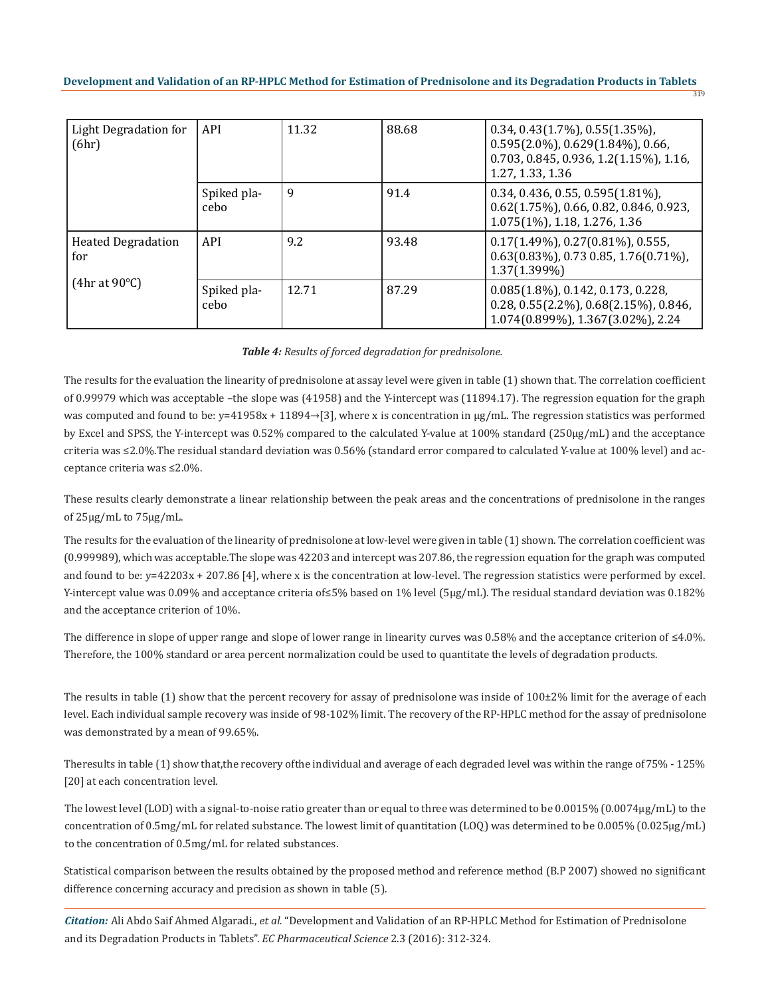| Light Degradation for<br>(6hr)                    | API                 | 11.32 | 88.68 | $0.34, 0.43(1.7\%)$ , $0.55(1.35\%)$ ,<br>$0.595(2.0\%)$ , $0.629(1.84\%)$ , 0.66,<br>0.703, 0.845, 0.936, 1.2(1.15%), 1.16,<br>1.27, 1.33, 1.36 |
|---------------------------------------------------|---------------------|-------|-------|--------------------------------------------------------------------------------------------------------------------------------------------------|
|                                                   | Spiked pla-<br>cebo | 9     | 91.4  | $0.34, 0.436, 0.55, 0.595(1.81\%).$<br>$0.62(1.75\%)$ , 0.66, 0.82, 0.846, 0.923,<br>1.075(1%), 1.18, 1.276, 1.36                                |
| <b>Heated Degradation</b><br>for<br>(4hr at 90°C) | API                 | 9.2   | 93.48 | $0.17(1.49\%)$ , $0.27(0.81\%)$ , $0.555$ ,<br>$0.63(0.83\%)$ , 0.73 0.85, 1.76 $(0.71\%)$ ,<br>1.37(1.399%)                                     |
|                                                   | Spiked pla-<br>cebo | 12.71 | 87.29 | $0.085(1.8\%)$ , 0.142, 0.173, 0.228,<br>$0.28, 0.55(2.2\%)$ , $0.68(2.15\%)$ , $0.846$ ,<br>1.074(0.899%), 1.367(3.02%), 2.24                   |

# *Table 4: Results of forced degradation for prednisolone.*

The results for the evaluation the linearity of prednisolone at assay level were given in table (1) shown that. The correlation coefficient of 0.99979 which was acceptable –the slope was (41958) and the Y-intercept was (11894.17). The regression equation for the graph was computed and found to be:  $y=41958x + 11894 \rightarrow [3]$ , where x is concentration in  $\mu$ g/mL. The regression statistics was performed by Excel and SPSS, the Y-intercept was 0.52% compared to the calculated Y-value at 100% standard (250μg/mL) and the acceptance criteria was ≤2.0%.The residual standard deviation was 0.56% (standard error compared to calculated Y-value at 100% level) and acceptance criteria was ≤2.0%.

These results clearly demonstrate a linear relationship between the peak areas and the concentrations of prednisolone in the ranges of 25μg/mL to 75μg/mL.

The results for the evaluation of the linearity of prednisolone at low-level were given in table (1) shown. The correlation coefficient was (0.999989), which was acceptable.The slope was 42203 and intercept was 207.86, the regression equation for the graph was computed and found to be: y=42203x + 207.86 [4], where x is the concentration at low-level. The regression statistics were performed by excel. Y-intercept value was 0.09% and acceptance criteria of≤5% based on 1% level (5μg/mL). The residual standard deviation was 0.182% and the acceptance criterion of 10%.

The difference in slope of upper range and slope of lower range in linearity curves was 0.58% and the acceptance criterion of ≤4.0%. Therefore, the 100% standard or area percent normalization could be used to quantitate the levels of degradation products.

The results in table (1) show that the percent recovery for assay of prednisolone was inside of  $100\pm2\%$  limit for the average of each level. Each individual sample recovery was inside of 98-102% limit. The recovery of the RP-HPLC method for the assay of prednisolone was demonstrated by a mean of 99.65%.

Theresults in table (1) show that,the recovery ofthe individual and average of each degraded level was within the range of75% - 125% [20] at each concentration level.

The lowest level (LOD) with a signal-to-noise ratio greater than or equal to three was determined to be 0.0015% (0.0074µg/mL) to the concentration of 0.5mg/mL for related substance. The lowest limit of quantitation (LOQ) was determined to be 0.005% (0.025µg/mL) to the concentration of 0.5mg/mL for related substances.

Statistical comparison between the results obtained by the proposed method and reference method (B.P 2007) showed no significant difference concerning accuracy and precision as shown in table (5).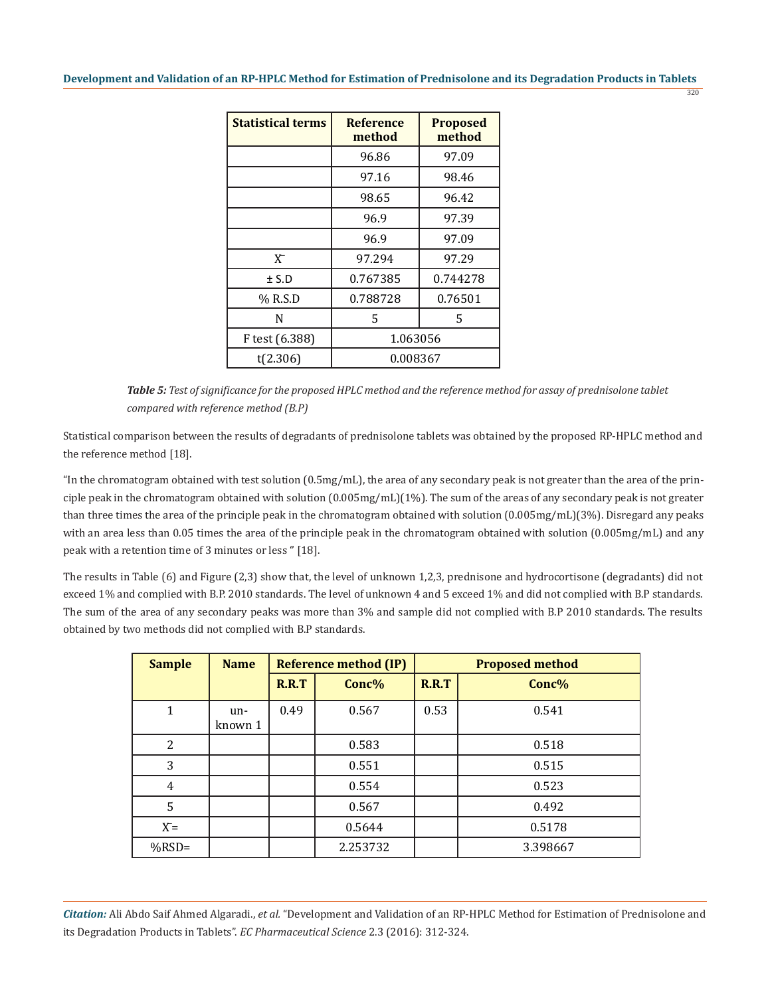320

| <b>Statistical terms</b> | <b>Reference</b><br>method | <b>Proposed</b><br>method |  |
|--------------------------|----------------------------|---------------------------|--|
|                          | 96.86                      | 97.09                     |  |
|                          | 97.16                      | 98.46                     |  |
|                          | 98.65                      | 96.42                     |  |
|                          | 96.9                       | 97.39                     |  |
|                          | 96.9                       | 97.09                     |  |
| $X^-$                    | 97.294                     | 97.29                     |  |
| ± S.D                    | 0.767385                   | 0.744278                  |  |
| % R.S.D                  | 0.788728                   | 0.76501                   |  |
| N                        | 5                          | 5                         |  |
| F test (6.388)           | 1.063056                   |                           |  |
| t(2.306)                 | 0.008367                   |                           |  |

*Table 5: Test of significance for the proposed HPLC method and the reference method for assay of prednisolone tablet compared with reference method (B.P)*

Statistical comparison between the results of degradants of prednisolone tablets was obtained by the proposed RP-HPLC method and the reference method [18].

"In the chromatogram obtained with test solution (0.5mg/mL), the area of any secondary peak is not greater than the area of the principle peak in the chromatogram obtained with solution (0.005mg/mL)(1%). The sum of the areas of any secondary peak is not greater than three times the area of the principle peak in the chromatogram obtained with solution (0.005mg/mL)(3%). Disregard any peaks with an area less than 0.05 times the area of the principle peak in the chromatogram obtained with solution (0.005mg/mL) and any peak with a retention time of 3 minutes or less '' [18].

The results in Table (6) and Figure (2,3) show that, the level of unknown 1,2,3, prednisone and hydrocortisone (degradants) did not exceed 1% and complied with B.P. 2010 standards. The level of unknown 4 and 5 exceed 1% and did not complied with B.P standards. The sum of the area of any secondary peaks was more than 3% and sample did not complied with B.P 2010 standards. The results obtained by two methods did not complied with B.P standards.

| <b>Sample</b> | <b>Name</b>    | <b>Reference method (IP)</b> |          |       | <b>Proposed method</b> |
|---------------|----------------|------------------------------|----------|-------|------------------------|
|               |                | R.R.T                        | Conc%    | R.R.T | Conc%                  |
| 1             | un-<br>known 1 | 0.49                         | 0.567    | 0.53  | 0.541                  |
| 2             |                |                              | 0.583    |       | 0.518                  |
| 3             |                |                              | 0.551    |       | 0.515                  |
| 4             |                |                              | 0.554    |       | 0.523                  |
| 5             |                |                              | 0.567    |       | 0.492                  |
| $X =$         |                |                              | 0.5644   |       | 0.5178                 |
| $%$ RSD=      |                |                              | 2.253732 |       | 3.398667               |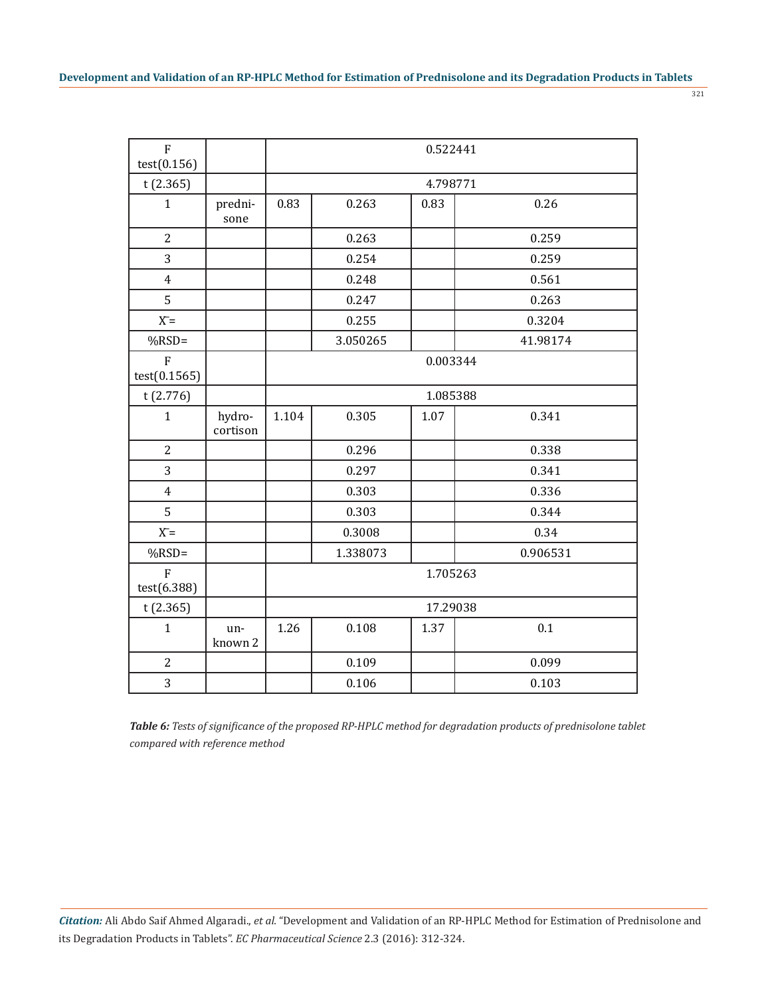| I<br>w<br>۰, |  |
|--------------|--|
|              |  |

| $\overline{F}$<br>test(0.156)  |                    | 0.522441 |          |          |          |  |  |
|--------------------------------|--------------------|----------|----------|----------|----------|--|--|
| t(2.365)                       |                    |          | 4.798771 |          |          |  |  |
| $\mathbf{1}$                   | predni-<br>sone    | 0.83     | 0.263    | 0.83     | 0.26     |  |  |
| $\overline{c}$                 |                    |          | 0.263    |          | 0.259    |  |  |
| 3                              |                    |          | 0.254    |          | 0.259    |  |  |
| $\overline{4}$                 |                    |          | 0.248    |          | 0.561    |  |  |
| 5                              |                    |          | 0.247    |          | 0.263    |  |  |
| $X =$                          |                    |          | 0.255    |          | 0.3204   |  |  |
| $%RSD=$                        |                    |          | 3.050265 |          | 41.98174 |  |  |
| $\overline{F}$<br>test(0.1565) |                    | 0.003344 |          |          |          |  |  |
| t(2.776)                       |                    | 1.085388 |          |          |          |  |  |
| $\mathbf{1}$                   | hydro-<br>cortison | 1.104    | 0.305    | 1.07     | 0.341    |  |  |
| $\overline{2}$                 |                    |          | 0.296    |          | 0.338    |  |  |
| 3                              |                    |          | 0.297    |          | 0.341    |  |  |
| $\overline{4}$                 |                    |          | 0.303    |          | 0.336    |  |  |
| 5                              |                    |          | 0.303    |          | 0.344    |  |  |
| $X =$                          |                    |          | 0.3008   |          | 0.34     |  |  |
| $%RSD=$                        |                    |          | 1.338073 |          | 0.906531 |  |  |
| $\overline{F}$<br>test(6.388)  |                    | 1.705263 |          |          |          |  |  |
| t(2.365)                       |                    |          |          | 17.29038 |          |  |  |
| $\mathbf{1}$                   | un-<br>known 2     | 1.26     | 0.108    | 1.37     | 0.1      |  |  |
| $\overline{2}$                 |                    |          | 0.109    |          | 0.099    |  |  |
| 3                              |                    |          | 0.106    |          | 0.103    |  |  |

*Table 6: Tests of significance of the proposed RP-HPLC method for degradation products of prednisolone tablet compared with reference method*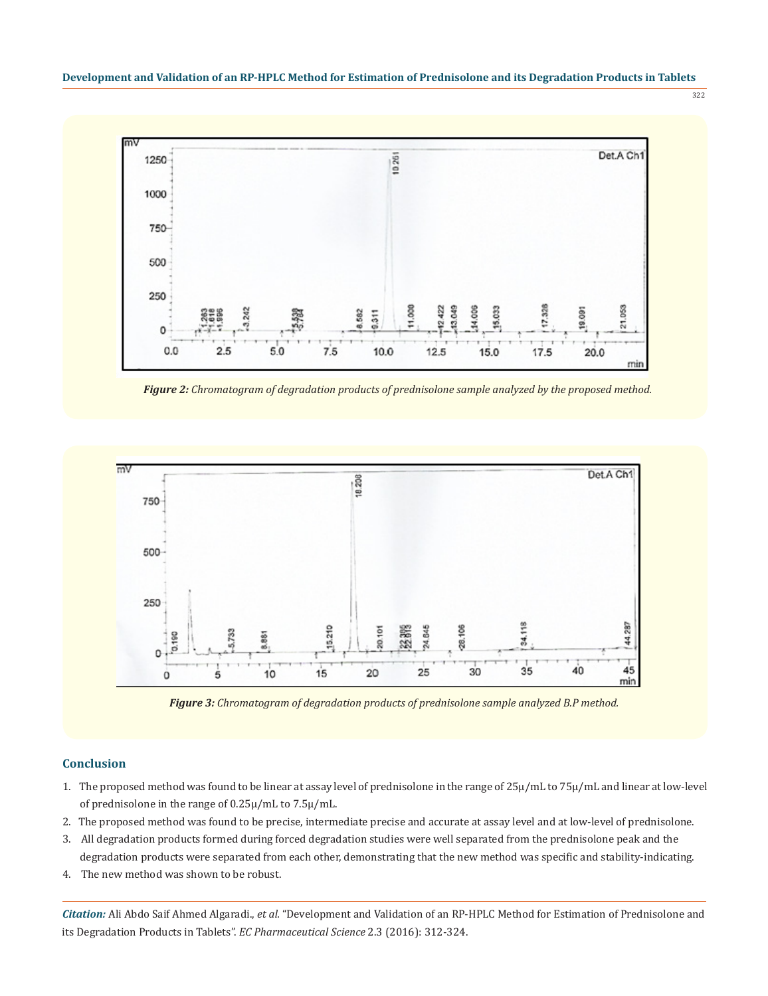



*Figure 2: Chromatogram of degradation products of prednisolone sample analyzed by the proposed method.*



*Figure 3: Chromatogram of degradation products of prednisolone sample analyzed B.P method.*

# **Conclusion**

- 1. The proposed method was found to be linear at assay level of prednisolone in the range of 25μ/mL to 75μ/mL and linear at low-level of prednisolone in the range of 0.25μ/mL to 7.5μ/mL.
- 2. The proposed method was found to be precise, intermediate precise and accurate at assay level and at low-level of prednisolone.
- 3. All degradation products formed during forced degradation studies were well separated from the prednisolone peak and the degradation products were separated from each other, demonstrating that the new method was specific and stability-indicating.
- 4. The new method was shown to be robust.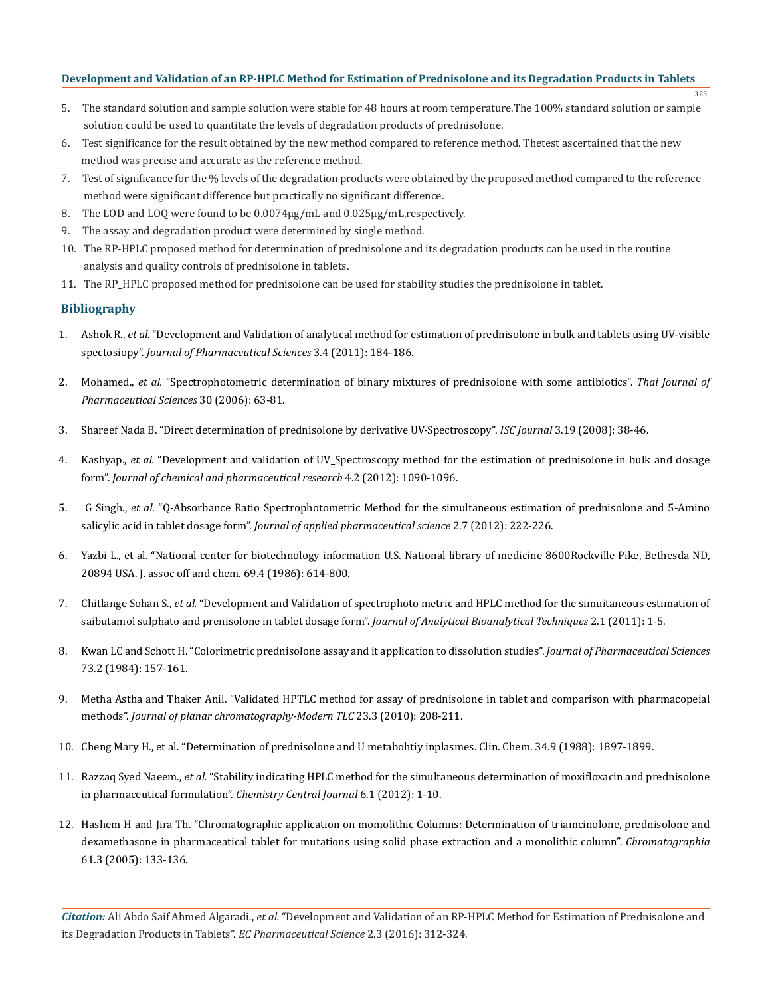323

- 5. The standard solution and sample solution were stable for 48 hours at room temperature.The 100% standard solution or sample solution could be used to quantitate the levels of degradation products of prednisolone.
- 6. Test significance for the result obtained by the new method compared to reference method. Thetest ascertained that the new method was precise and accurate as the reference method.
- 7. Test of significance for the % levels of the degradation products were obtained by the proposed method compared to the reference method were significant difference but practically no significant difference.
- 8. The LOD and LOQ were found to be 0.0074μg/mL and 0.025μg/mL,respectively.
- 9. The assay and degradation product were determined by single method.
- 10. The RP-HPLC proposed method for determination of prednisolone and its degradation products can be used in the routine analysis and quality controls of prednisolone in tablets.
- 11. The RP\_HPLC proposed method for prednisolone can be used for stability studies the prednisolone in tablet.

# **Bibliography**

- 1. Ashok R., *et al.* "Development and Validation of analytical method for estimation of prednisolone in bulk and tablets using UV-visible spectosiopy". *Journal of Pharmaceutical Sciences* 3.4 (2011): 184-186.
- 2. Mohamed., *et al.* "Spectrophotometric determination of binary mixtures of prednisolone with some antibiotics". *Thai Journal of Pharmaceutical Sciences* 30 (2006): 63-81.
- 3. Shareef Nada B. "Direct determination of prednisolone by derivative UV-Spectroscopy". *ISC Journal* 3.19 (2008): 38-46.
- 4. Kashyap., *et al.* "Development and validation of UV\_Spectroscopy method for the estimation of prednisolone in bulk and dosage form". *Journal of chemical and pharmaceutical research* 4.2 (2012): 1090-1096.
- 5. G Singh., *et al.* "Q-Absorbance Ratio Spectrophotometric Method for the simultaneous estimation of prednisolone and 5-Amino salicylic acid in tablet dosage form". *Journal of applied pharmaceutical science* 2.7 (2012): 222-226.
- 6. Yazbi L., et al. "National center for biotechnology information U.S. National library of medicine 8600Rockville Pike, Bethesda ND, 20894 USA. J. assoc off and chem. 69.4 (1986): 614-800.
- 7. Chitlange Sohan S., *et al.* "Development and Validation of spectrophoto metric and HPLC method for the simuitaneous estimation of saibutamol sulphato and prenisolone in tablet dosage form". *Journal of Analytical Bioanalytical Techniques* 2.1 (2011): 1-5.
- 8. Kwan LC and Schott H. "Colorimetric prednisolone assay and it application to dissolution studies". *Journal of Pharmaceutical Sciences* 73.2 (1984): 157-161.
- 9. Metha Astha and Thaker Anil. "Validated HPTLC method for assay of prednisolone in tablet and comparison with pharmacopeial methods". *Journal of planar chromatography-Modern TLC* 23.3 (2010): 208-211.
- 10. Cheng Mary H., et al. "Determination of prednisolone and U metabohtiy inplasmes. Clin. Chem. 34.9 (1988): 1897-1899.
- 11. Razzaq Syed Naeem., *et al.* "Stability indicating HPLC method for the simultaneous determination of moxifloxacin and prednisolone in pharmaceutical formulation". *Chemistry Central Journal* 6.1 (2012): 1-10.
- 12. Hashem H and Jira Th. "Chromatographic application on momolithic Columns: Determination of triamcinolone, prednisolone and dexamethasone in pharmaceatical tablet for mutations using solid phase extraction and a monolithic column". *Chromatographia*  61.3 (2005): 133-136.